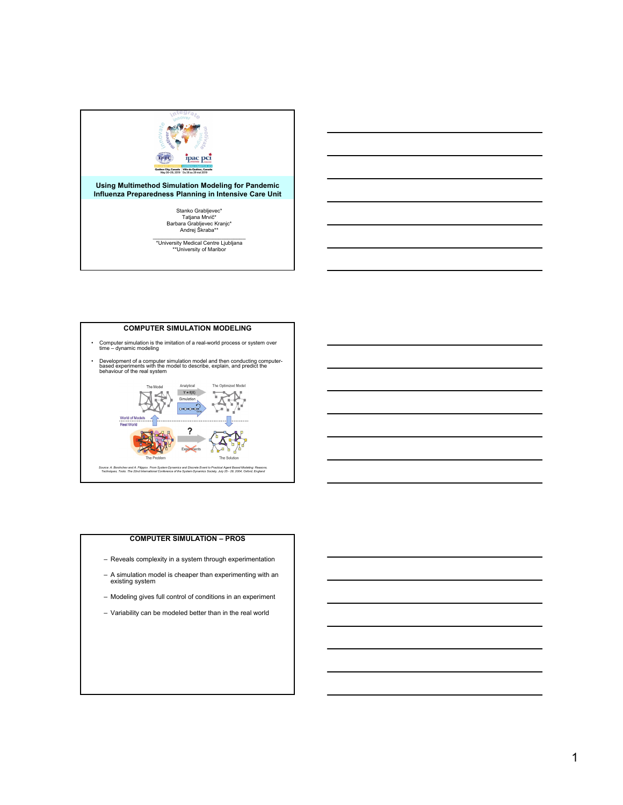

### **Using Multimethod Simulation Modeling for Pandemic Influenza Preparedness Planning in Intensive Care Unit**

Stanko Grabljevec\* Tatjana Mrvič\* Barbara Grabljevec Kranjc\* Andrej Škraba\*\*

\_\_\_\_\_\_\_\_\_\_\_\_\_\_\_\_\_\_\_\_\_\_\_\_\_\_\_\_\_\_\_ \*University Medical Centre Ljubljana \*\*University of Maribor



#### **COMPUTER SIMULATION – PROS**

- Reveals complexity in a system through experimentation
- A simulation model is cheaper than experimenting with an existing system
- Modeling gives full control of conditions in an experiment
- Variability can be modeled better than in the real world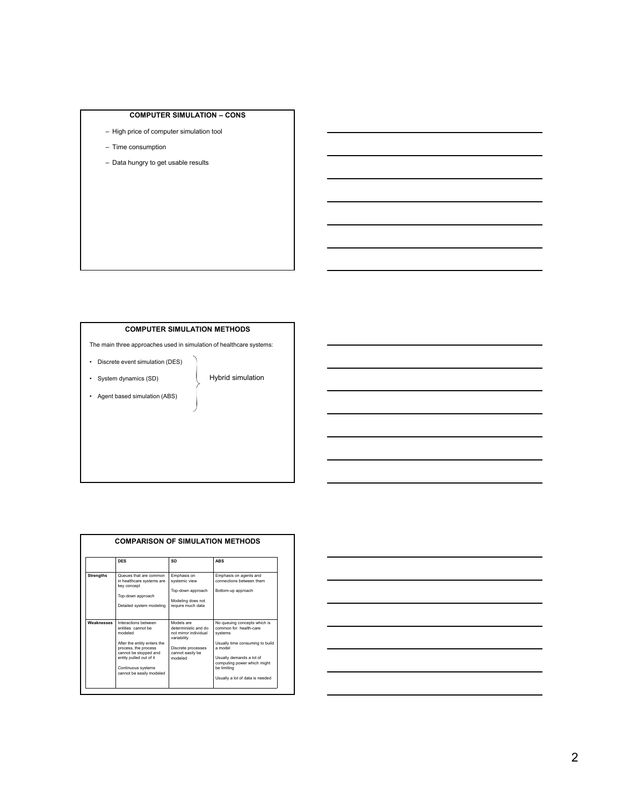# **COMPUTER SIMULATION – CONS**

- High price of computer simulation tool
- Time consumption
- Data hungry to get usable results

# **COMPUTER SIMULATION METHODS**

The main three approaches used in simulation of healthcare systems:

- Discrete event simulation (DES)
- System dynamics (SD)
- Agent based simulation (ABS)

# Hybrid simulation

|                  | <b>DES</b>                                                                                                                                                                                                         | SD                                                                                                                              | <b>ABS</b>                                                                                                                                                                                                                   |
|------------------|--------------------------------------------------------------------------------------------------------------------------------------------------------------------------------------------------------------------|---------------------------------------------------------------------------------------------------------------------------------|------------------------------------------------------------------------------------------------------------------------------------------------------------------------------------------------------------------------------|
| <b>Strengths</b> | Queues that are common<br>in healthcare systems are<br>key concept<br>Top-down approach<br>Detailed system modeling                                                                                                | Emphasis on<br>systemic view<br>Top-down approach<br>Modeling does not<br>require much data                                     | Emphasis on agents and<br>connections between them.<br>Bottom-up approach                                                                                                                                                    |
| Weaknesses       | Interactions between<br>entities cannot be<br>modeled<br>After the entity enters the<br>process, the process<br>cannot be stopped and<br>entity pulled out of it<br>Continuous systems<br>cannot be easily modeled | Models are<br>deterministic and do<br>not mirror individual<br>variability<br>Discrete processes<br>cannot easily be<br>modeled | No queuing concepts which is<br>common for health-care<br>systems<br>Usually time consuming to build<br>a model<br>Usually demands a lot of<br>computing power which might<br>be limiting<br>Usually a lot of data is needed |

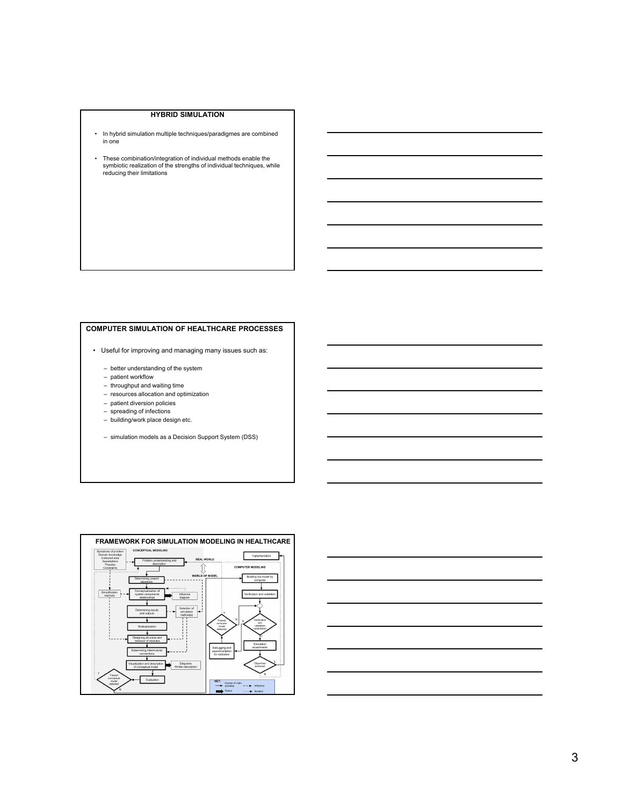## **HYBRID SIMULATION**

- In hybrid simulation multiple techniques/paradigmes are combined in one
- These combination/integration of individual methods enable the symbiotic realization of the strengths of individual techniques, while reducing their limitations

# **COMPUTER SIMULATION OF HEALTHCARE PROCESSES**

- Useful for improving and managing many issues such as:
	- better understanding of the system
	- patient workflow
	- throughput and waiting time
	- resources allocation and optimization
	- patient diversion policies
	- spreading of infections
	- building/work place design etc.
	- simulation models as a Decision Support System (DSS)



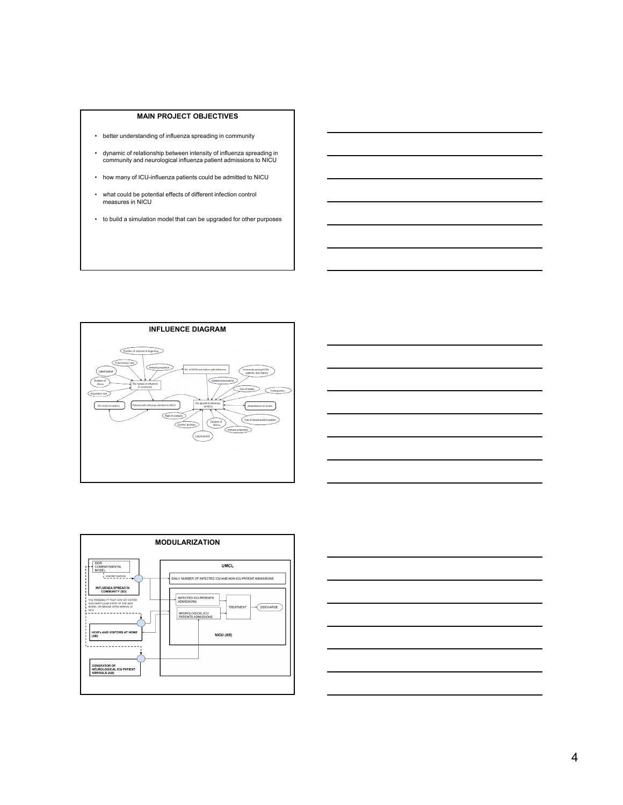#### **MAIN PROJECT OBJECTIVES**

- better understanding of influenza spreading in community
- dynamic of relationship between intensity of influenza spreading in community and neurological influenza patient admissions to NICU
- how many of ICU-influenza patients could be admitted to NICU
- what could be potential effects of different infection control measures in NICU
- to build a simulation model that can be upgraded for other purposes







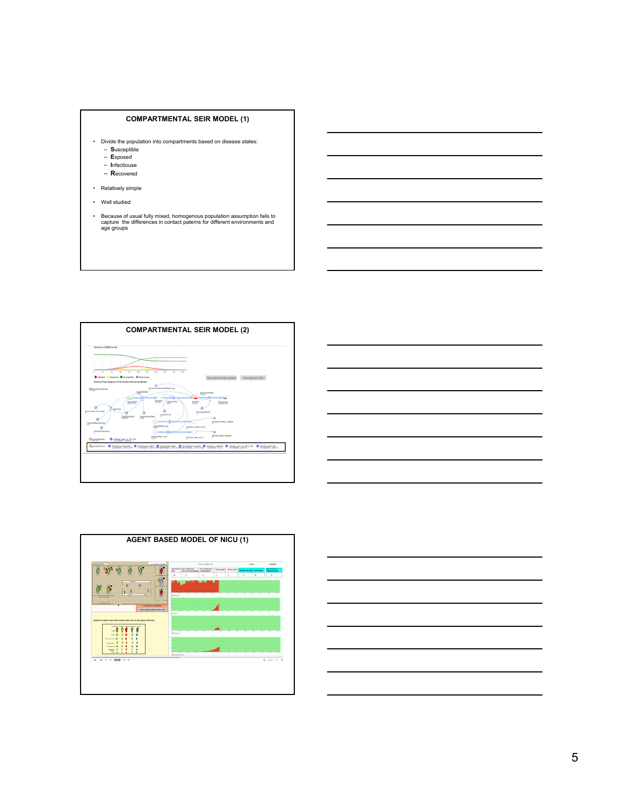### **COMPARTMENTAL SEIR MODEL (1)**

- Divide the population into compartments based on disease states: – **S**usceptible
	- **E**xposed
	- **I**nfectiouse
	- **R**ecovered
- Relatively simple
- Well studied
- Because of usual fully mixed, homogenous population assumption fails to capture the differences in contact paterns for different environments and age groups







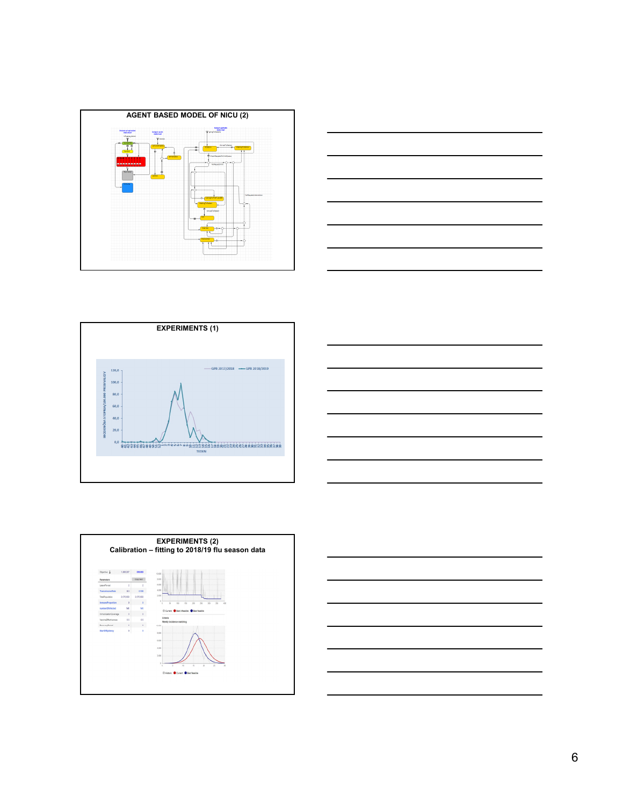









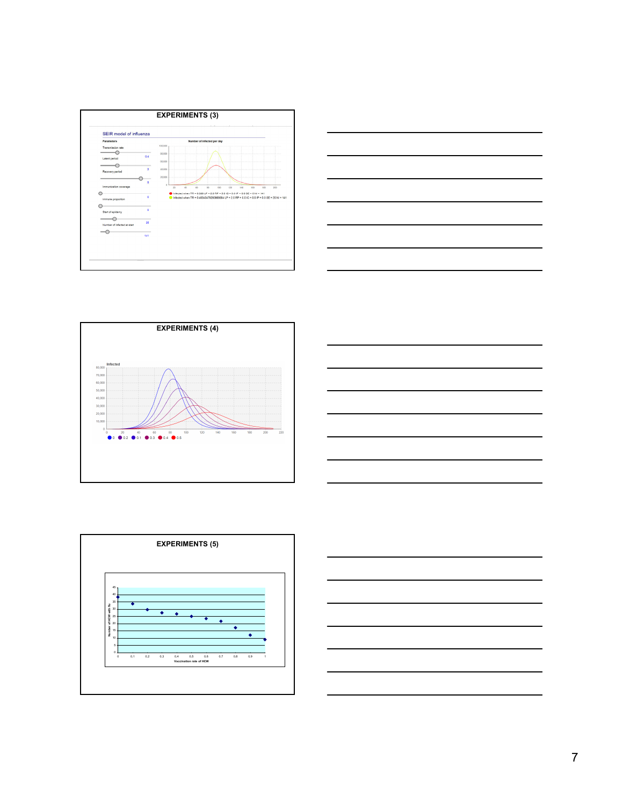









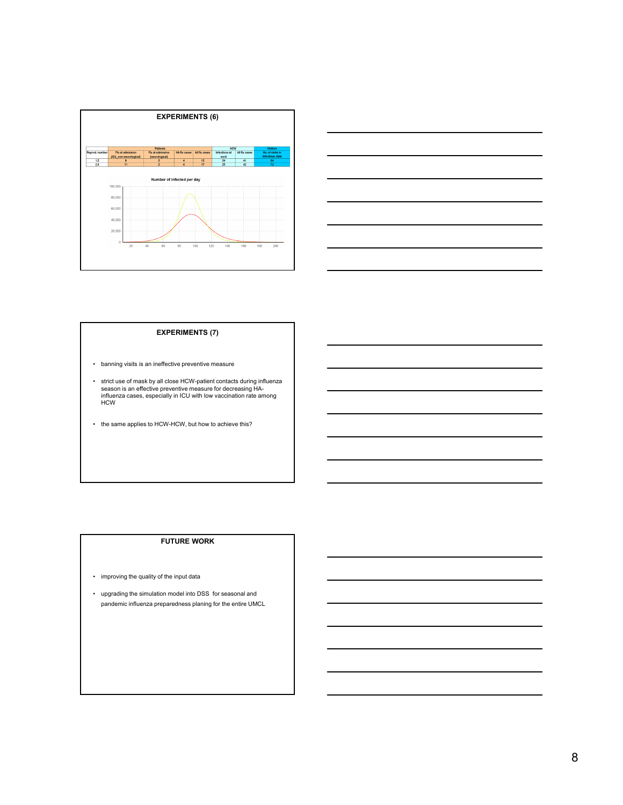



### **EXPERIMENTS (7)**

- banning visits is an ineffective preventive measure
- strict use of mask by all close HCW-patient contacts during influenza season is an effective preventive measure for decreasing HA-influenza cases, especially in ICU with low vaccination rate among H<sub>C</sub>M
- the same applies to HCW-HCW, but how to achieve this?

## **FUTURE WORK**

- improving the quality of the input data
- upgrading the simulation model into DSS for seasonal and pandemic influenza preparedness planing for the entire UMCL